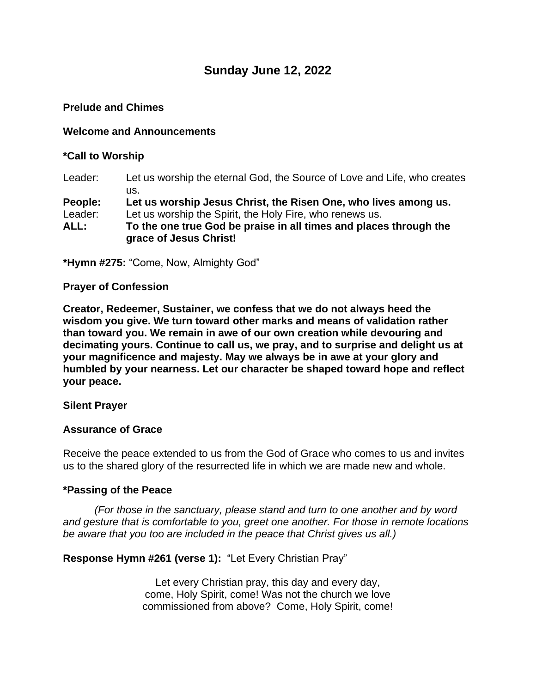# **Sunday June 12, 2022**

## **Prelude and Chimes**

#### **Welcome and Announcements**

#### **\*Call to Worship**

|         | grace of Jesus Christ!                                                   |
|---------|--------------------------------------------------------------------------|
| ALL:    | To the one true God be praise in all times and places through the        |
| Leader: | Let us worship the Spirit, the Holy Fire, who renews us.                 |
| People: | Let us worship Jesus Christ, the Risen One, who lives among us.          |
|         | us.                                                                      |
| Leader: | Let us worship the eternal God, the Source of Love and Life, who creates |

**\*Hymn #275:** "Come, Now, Almighty God"

#### **Prayer of Confession**

**Creator, Redeemer, Sustainer, we confess that we do not always heed the wisdom you give. We turn toward other marks and means of validation rather than toward you. We remain in awe of our own creation while devouring and decimating yours. Continue to call us, we pray, and to surprise and delight us at your magnificence and majesty. May we always be in awe at your glory and humbled by your nearness. Let our character be shaped toward hope and reflect your peace.**

#### **Silent Prayer**

#### **Assurance of Grace**

Receive the peace extended to us from the God of Grace who comes to us and invites us to the shared glory of the resurrected life in which we are made new and whole.

#### **\*Passing of the Peace**

*(For those in the sanctuary, please stand and turn to one another and by word and gesture that is comfortable to you, greet one another. For those in remote locations be aware that you too are included in the peace that Christ gives us all.)*

#### **Response Hymn #261 (verse 1):** "Let Every Christian Pray"

Let every Christian pray, this day and every day, come, Holy Spirit, come! Was not the church we love commissioned from above? Come, Holy Spirit, come!